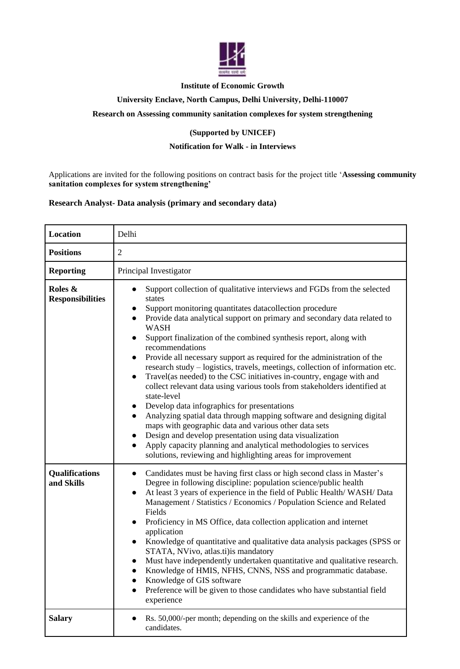

## **Institute of Economic Growth**

## **University Enclave, North Campus, Delhi University, Delhi-110007**

## **Research on Assessing community sanitation complexes for system strengthening**

## **(Supported by UNICEF)**

## **Notification for Walk - in Interviews**

Applications are invited for the following positions on contract basis for the project title '**Assessing community sanitation complexes for system strengthening'**

## **Research Analyst- Data analysis (primary and secondary data)**

| Location                            | Delhi                                                                                                                                                                                                                                                                                                                                                                                                                                                                                                                                                                                                                                                                                                                                                                                                                                                                                                                                                                                                                                                                                                                                                   |
|-------------------------------------|---------------------------------------------------------------------------------------------------------------------------------------------------------------------------------------------------------------------------------------------------------------------------------------------------------------------------------------------------------------------------------------------------------------------------------------------------------------------------------------------------------------------------------------------------------------------------------------------------------------------------------------------------------------------------------------------------------------------------------------------------------------------------------------------------------------------------------------------------------------------------------------------------------------------------------------------------------------------------------------------------------------------------------------------------------------------------------------------------------------------------------------------------------|
| <b>Positions</b>                    | $\overline{2}$                                                                                                                                                                                                                                                                                                                                                                                                                                                                                                                                                                                                                                                                                                                                                                                                                                                                                                                                                                                                                                                                                                                                          |
| <b>Reporting</b>                    | Principal Investigator                                                                                                                                                                                                                                                                                                                                                                                                                                                                                                                                                                                                                                                                                                                                                                                                                                                                                                                                                                                                                                                                                                                                  |
| Roles &<br><b>Responsibilities</b>  | Support collection of qualitative interviews and FGDs from the selected<br>states<br>Support monitoring quantitates datacollection procedure<br>$\bullet$<br>Provide data analytical support on primary and secondary data related to<br>$\bullet$<br><b>WASH</b><br>Support finalization of the combined synthesis report, along with<br>$\bullet$<br>recommendations<br>Provide all necessary support as required for the administration of the<br>$\bullet$<br>research study - logistics, travels, meetings, collection of information etc.<br>Travel(as needed) to the CSC initiatives in-country, engage with and<br>$\bullet$<br>collect relevant data using various tools from stakeholders identified at<br>state-level<br>Develop data infographics for presentations<br>$\bullet$<br>Analyzing spatial data through mapping software and designing digital<br>maps with geographic data and various other data sets<br>Design and develop presentation using data visualization<br>$\bullet$<br>Apply capacity planning and analytical methodologies to services<br>$\bullet$<br>solutions, reviewing and highlighting areas for improvement |
| <b>Qualifications</b><br>and Skills | Candidates must be having first class or high second class in Master's<br>$\bullet$<br>Degree in following discipline: population science/public health<br>At least 3 years of experience in the field of Public Health/WASH/Data<br>$\bullet$<br>Management / Statistics / Economics / Population Science and Related<br>Fields<br>Proficiency in MS Office, data collection application and internet<br>$\bullet$<br>application<br>Knowledge of quantitative and qualitative data analysis packages (SPSS or<br>$\bullet$<br>STATA, NVivo, atlas.ti) is mandatory<br>Must have independently undertaken quantitative and qualitative research.<br>Knowledge of HMIS, NFHS, CNNS, NSS and programmatic database.<br>Knowledge of GIS software<br>Preference will be given to those candidates who have substantial field<br>experience                                                                                                                                                                                                                                                                                                                |
| <b>Salary</b>                       | Rs. 50,000/-per month; depending on the skills and experience of the<br>candidates.                                                                                                                                                                                                                                                                                                                                                                                                                                                                                                                                                                                                                                                                                                                                                                                                                                                                                                                                                                                                                                                                     |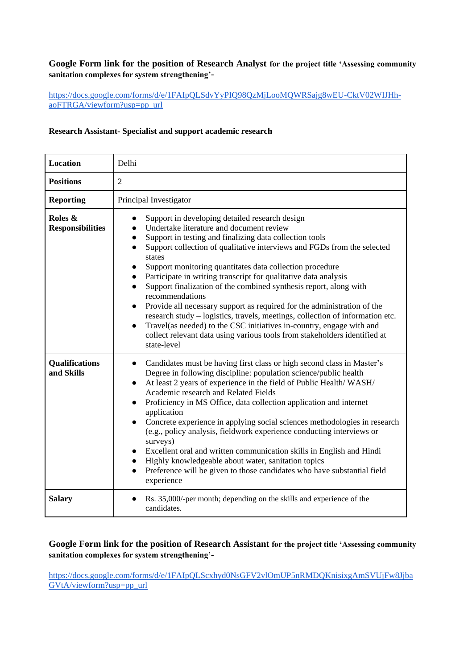## **Google Form link for the position of Research Analyst for the project title 'Assessing community sanitation complexes for system strengthening'-**

## [https://docs.google.com/forms/d/e/1FAIpQLSdvYyPIQ98QzMjLooMQWRSajg8wEU-CktV02WIJHh](https://docs.google.com/forms/d/e/1FAIpQLSdvYyPIQ98QzMjLooMQWRSajg8wEU-CktV02WIJHh-aoFTRGA/viewform?usp=pp_url)[aoFTRGA/viewform?usp=pp\\_url](https://docs.google.com/forms/d/e/1FAIpQLSdvYyPIQ98QzMjLooMQWRSajg8wEU-CktV02WIJHh-aoFTRGA/viewform?usp=pp_url)

## **Research Assistant- Specialist and support academic research**

| <b>Location</b>                     | Delhi                                                                                                                                                                                                                                                                                                                                                                                                                                                                                                                                                                                                                                                                                                                                                                                                                                    |
|-------------------------------------|------------------------------------------------------------------------------------------------------------------------------------------------------------------------------------------------------------------------------------------------------------------------------------------------------------------------------------------------------------------------------------------------------------------------------------------------------------------------------------------------------------------------------------------------------------------------------------------------------------------------------------------------------------------------------------------------------------------------------------------------------------------------------------------------------------------------------------------|
| <b>Positions</b>                    | $\overline{2}$                                                                                                                                                                                                                                                                                                                                                                                                                                                                                                                                                                                                                                                                                                                                                                                                                           |
| <b>Reporting</b>                    | Principal Investigator                                                                                                                                                                                                                                                                                                                                                                                                                                                                                                                                                                                                                                                                                                                                                                                                                   |
| Roles &<br><b>Responsibilities</b>  | Support in developing detailed research design<br>$\bullet$<br>Undertake literature and document review<br>Support in testing and finalizing data collection tools<br>Support collection of qualitative interviews and FGDs from the selected<br>$\bullet$<br>states<br>Support monitoring quantitates data collection procedure<br>Participate in writing transcript for qualitative data analysis<br>Support finalization of the combined synthesis report, along with<br>recommendations<br>Provide all necessary support as required for the administration of the<br>research study – logistics, travels, meetings, collection of information etc.<br>Travel(as needed) to the CSC initiatives in-country, engage with and<br>$\bullet$<br>collect relevant data using various tools from stakeholders identified at<br>state-level |
| <b>Qualifications</b><br>and Skills | Candidates must be having first class or high second class in Master's<br>$\bullet$<br>Degree in following discipline: population science/public health<br>At least 2 years of experience in the field of Public Health/WASH/<br>$\bullet$<br>Academic research and Related Fields<br>Proficiency in MS Office, data collection application and internet<br>application<br>Concrete experience in applying social sciences methodologies in research<br>$\bullet$<br>(e.g., policy analysis, fieldwork experience conducting interviews or<br>surveys)<br>Excellent oral and written communication skills in English and Hindi<br>Highly knowledgeable about water, sanitation topics<br>$\bullet$<br>Preference will be given to those candidates who have substantial field<br>$\bullet$<br>experience                                 |
| <b>Salary</b>                       | Rs. 35,000/-per month; depending on the skills and experience of the<br>candidates.                                                                                                                                                                                                                                                                                                                                                                                                                                                                                                                                                                                                                                                                                                                                                      |

# **Google Form link for the position of Research Assistant for the project title 'Assessing community sanitation complexes for system strengthening'-**

[https://docs.google.com/forms/d/e/1FAIpQLScxhyd0NsGFV2vlOmUP5nRMDQKnisixgAmSVUjFw8Jjba](https://docs.google.com/forms/d/e/1FAIpQLScxhyd0NsGFV2vlOmUP5nRMDQKnisixgAmSVUjFw8JjbaGVtA/viewform?usp=pp_url) [GVtA/viewform?usp=pp\\_url](https://docs.google.com/forms/d/e/1FAIpQLScxhyd0NsGFV2vlOmUP5nRMDQKnisixgAmSVUjFw8JjbaGVtA/viewform?usp=pp_url)